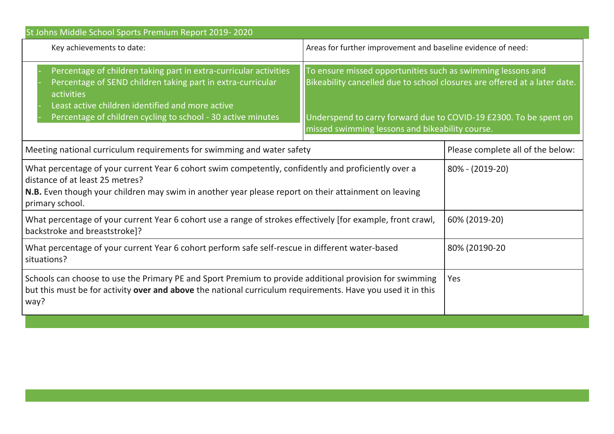| St Johns Middle School Sports Premium Report 2019-2020                                                                                                                                                                                                             |                                                                                                                                                                                                                                                                  |  |  |  |
|--------------------------------------------------------------------------------------------------------------------------------------------------------------------------------------------------------------------------------------------------------------------|------------------------------------------------------------------------------------------------------------------------------------------------------------------------------------------------------------------------------------------------------------------|--|--|--|
| Key achievements to date:                                                                                                                                                                                                                                          | Areas for further improvement and baseline evidence of need:                                                                                                                                                                                                     |  |  |  |
| Percentage of children taking part in extra-curricular activities<br>Percentage of SEND children taking part in extra-curricular<br>activities<br>Least active children identified and more active<br>Percentage of children cycling to school - 30 active minutes | To ensure missed opportunities such as swimming lessons and<br>Bikeability cancelled due to school closures are offered at a later date.<br>Underspend to carry forward due to COVID-19 £2300. To be spent on<br>missed swimming lessons and bikeability course. |  |  |  |
| Meeting national curriculum requirements for swimming and water safety                                                                                                                                                                                             | Please complete all of the below:                                                                                                                                                                                                                                |  |  |  |
| What percentage of your current Year 6 cohort swim competently, confidently and proficiently over a<br>distance of at least 25 metres?<br>N.B. Even though your children may swim in another year please report on their attainment on leaving<br>primary school.  | $80\% - (2019-20)$                                                                                                                                                                                                                                               |  |  |  |
| What percentage of your current Year 6 cohort use a range of strokes effectively [for example, front crawl,<br>backstroke and breaststroke]?                                                                                                                       | 60% (2019-20)                                                                                                                                                                                                                                                    |  |  |  |
| What percentage of your current Year 6 cohort perform safe self-rescue in different water-based<br>situations?                                                                                                                                                     | 80% (20190-20                                                                                                                                                                                                                                                    |  |  |  |
| Schools can choose to use the Primary PE and Sport Premium to provide additional provision for swimming<br>but this must be for activity over and above the national curriculum requirements. Have you used it in this<br>way?                                     | Yes                                                                                                                                                                                                                                                              |  |  |  |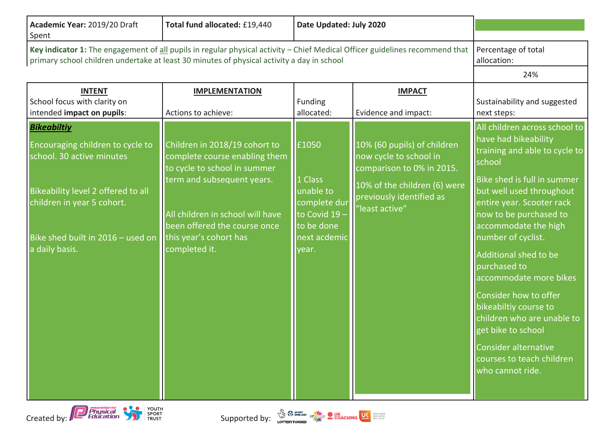| Academic Year: 2019/20 Draft<br>Spent                                                                                                                                                                                      | Total fund allocated: £19,440                                                                                                                                                                                                               | Date Updated: July 2020                                                                             |                                                                                                                                                                  |                                                                                                                                                                                                                                                                                                                                                                                                                                                                                                                    |
|----------------------------------------------------------------------------------------------------------------------------------------------------------------------------------------------------------------------------|---------------------------------------------------------------------------------------------------------------------------------------------------------------------------------------------------------------------------------------------|-----------------------------------------------------------------------------------------------------|------------------------------------------------------------------------------------------------------------------------------------------------------------------|--------------------------------------------------------------------------------------------------------------------------------------------------------------------------------------------------------------------------------------------------------------------------------------------------------------------------------------------------------------------------------------------------------------------------------------------------------------------------------------------------------------------|
| Key indicator 1: The engagement of all pupils in regular physical activity - Chief Medical Officer guidelines recommend that<br>primary school children undertake at least 30 minutes of physical activity a day in school |                                                                                                                                                                                                                                             |                                                                                                     |                                                                                                                                                                  | Percentage of total<br>allocation:                                                                                                                                                                                                                                                                                                                                                                                                                                                                                 |
|                                                                                                                                                                                                                            |                                                                                                                                                                                                                                             |                                                                                                     |                                                                                                                                                                  | 24%                                                                                                                                                                                                                                                                                                                                                                                                                                                                                                                |
| <b>INTENT</b><br>School focus with clarity on<br>intended impact on pupils:                                                                                                                                                | <b>IMPLEMENTATION</b><br>Actions to achieve:                                                                                                                                                                                                | Funding<br>allocated:                                                                               | <b>IMPACT</b><br>Evidence and impact:                                                                                                                            | Sustainability and suggested<br>next steps:                                                                                                                                                                                                                                                                                                                                                                                                                                                                        |
| <b>Bikeabiltiy</b><br>Encouraging children to cycle to<br>school. 30 active minutes<br>Bikeability level 2 offered to all<br>children in year 5 cohort.<br>Bike shed built in 2016 - used on<br>a daily basis.             | Children in 2018/19 cohort to<br>complete course enabling them<br>to cycle to school in summer<br>term and subsequent years.<br>All children in school will have<br>been offered the course once<br>this year's cohort has<br>completed it. | £1050<br>1 Class<br>unable to<br>complete dur<br>to Covid 19<br>to be done<br>next acdemic<br>year. | 10% (60 pupils) of children<br>now cycle to school in<br>comparison to 0% in 2015.<br>10% of the children (6) were<br>previously identified as<br>'least active" | All children across school to<br>have had bikeability<br>training and able to cycle to<br>school<br>Bike shed is full in summer<br>but well used throughout<br>entire year. Scooter rack<br>now to be purchased to<br>accommodate the high<br>number of cyclist.<br>Additional shed to be<br>purchased to<br>accommodate more bikes<br>Consider how to offer<br>bikeabiltiy course to<br>children who are unable to<br>get bike to school<br>Consider alternative<br>courses to teach children<br>who cannot ride. |



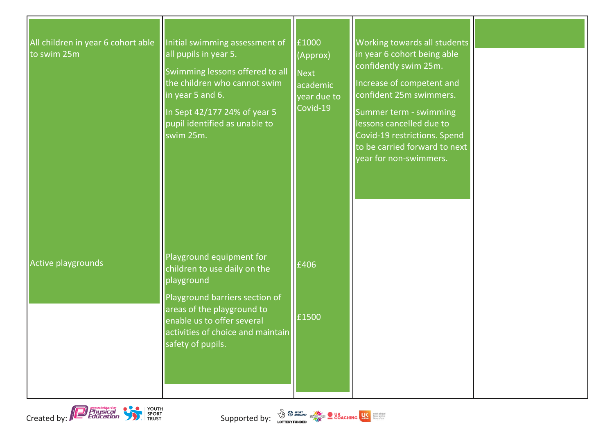| All children in year 6 cohort able<br>to swim 25m | Initial swimming assessment of<br>all pupils in year 5.<br>Swimming lessons offered to all<br>the children who cannot swim<br>in year 5 and 6.<br>In Sept 42/177 24% of year 5<br>pupil identified as unable to<br>swim 25m.   | £1000<br>(Approx)<br><b>Next</b><br>academic<br>year due to<br>Covid-19 | Working towards all students<br>in year 6 cohort being able<br>confidently swim 25m.<br>Increase of competent and<br>confident 25m swimmers.<br>Summer term - swimming<br>lessons cancelled due to<br>Covid-19 restrictions. Spend<br>to be carried forward to next<br>year for non-swimmers. |  |
|---------------------------------------------------|--------------------------------------------------------------------------------------------------------------------------------------------------------------------------------------------------------------------------------|-------------------------------------------------------------------------|-----------------------------------------------------------------------------------------------------------------------------------------------------------------------------------------------------------------------------------------------------------------------------------------------|--|
| Active playgrounds                                | Playground equipment for<br>children to use daily on the<br>playground<br>Playground barriers section of<br>areas of the playground to<br>enable us to offer several<br>activities of choice and maintain<br>safety of pupils. | £406<br>£1500                                                           |                                                                                                                                                                                                                                                                                               |  |

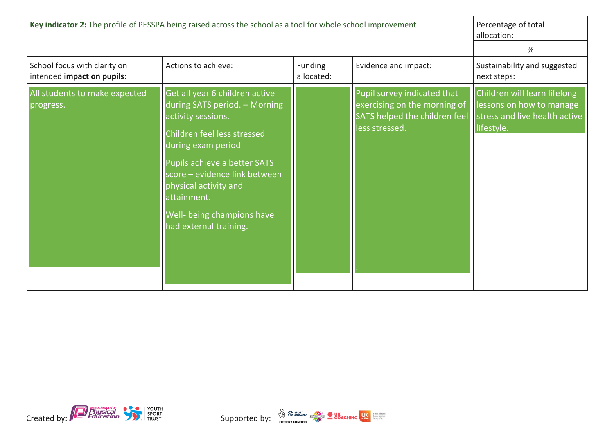| Key indicator 2: The profile of PESSPA being raised across the school as a tool for whole school improvement |                                                                                                                                                                                                                                                                                                             |                              |                                                                                                                | Percentage of total<br>allocation:                                                                      |
|--------------------------------------------------------------------------------------------------------------|-------------------------------------------------------------------------------------------------------------------------------------------------------------------------------------------------------------------------------------------------------------------------------------------------------------|------------------------------|----------------------------------------------------------------------------------------------------------------|---------------------------------------------------------------------------------------------------------|
|                                                                                                              |                                                                                                                                                                                                                                                                                                             |                              |                                                                                                                | %                                                                                                       |
| School focus with clarity on<br>intended impact on pupils:                                                   | Actions to achieve:                                                                                                                                                                                                                                                                                         | <b>Funding</b><br>allocated: | Evidence and impact:                                                                                           | Sustainability and suggested<br>next steps:                                                             |
| All students to make expected<br>progress.                                                                   | Get all year 6 children active<br>during SATS period. - Morning<br>activity sessions.<br>Children feel less stressed<br>during exam period<br>Pupils achieve a better SATS<br>score – evidence link between<br>physical activity and<br>attainment.<br>Well- being champions have<br>had external training. |                              | Pupil survey indicated that<br>exercising on the morning of<br>SATS helped the children feel<br>less stressed. | Children will learn lifelong<br>lessons on how to manage<br>stress and live health active<br>lifestyle. |

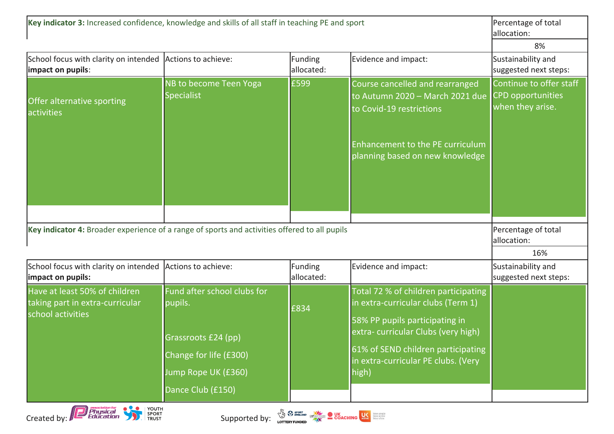| Key indicator 3: Increased confidence, knowledge and skills of all staff in teaching PE and sport |                                                                                                                                     |                       |                                                                                                                                                                                                                                          | Percentage of total<br>allocation:          |
|---------------------------------------------------------------------------------------------------|-------------------------------------------------------------------------------------------------------------------------------------|-----------------------|------------------------------------------------------------------------------------------------------------------------------------------------------------------------------------------------------------------------------------------|---------------------------------------------|
|                                                                                                   | 8%                                                                                                                                  |                       |                                                                                                                                                                                                                                          |                                             |
| School focus with clarity on intended Actions to achieve:<br>impact on pupils:                    |                                                                                                                                     | Funding<br>allocated: | Evidence and impact:                                                                                                                                                                                                                     | Sustainability and<br>suggested next steps: |
| Offer alternative sporting<br>activities                                                          | NB to become Teen Yoga<br><b>Specialist</b>                                                                                         | £599                  | Course cancelled and rearranged<br>to Autumn 2020 - March 2021 due CPD opportunities<br>to Covid-19 restrictions<br>Enhancement to the PE curriculum<br>planning based on new knowledge                                                  | Continue to offer staff<br>when they arise. |
|                                                                                                   |                                                                                                                                     |                       |                                                                                                                                                                                                                                          |                                             |
| Key indicator 4: Broader experience of a range of sports and activities offered to all pupils     | Percentage of total<br>allocation:                                                                                                  |                       |                                                                                                                                                                                                                                          |                                             |
|                                                                                                   |                                                                                                                                     |                       |                                                                                                                                                                                                                                          | 16%                                         |
| School focus with clarity on intended Actions to achieve:<br>impact on pupils:                    |                                                                                                                                     | Funding<br>allocated: | Evidence and impact:                                                                                                                                                                                                                     | Sustainability and<br>suggested next steps: |
| Have at least 50% of children<br>taking part in extra-curricular<br>school activities             | Fund after school clubs for<br>pupils.<br>Grassroots £24 (pp)<br>Change for life (£300)<br>Jump Rope UK (£360)<br>Dance Club (£150) | £834                  | Total 72 % of children participating<br>in extra-curricular clubs (Term 1)<br>58% PP pupils participating in<br>extra-curricular Clubs (very high)<br>61% of SEND children participating<br>in extra-curricular PE clubs. (Very<br>high) |                                             |

Created by: **Construction Construction**<br>Created by: Education Construction Construction Construction Construction Construction Construction Construction<br>Created by: Education Construction Construction Construction Construc



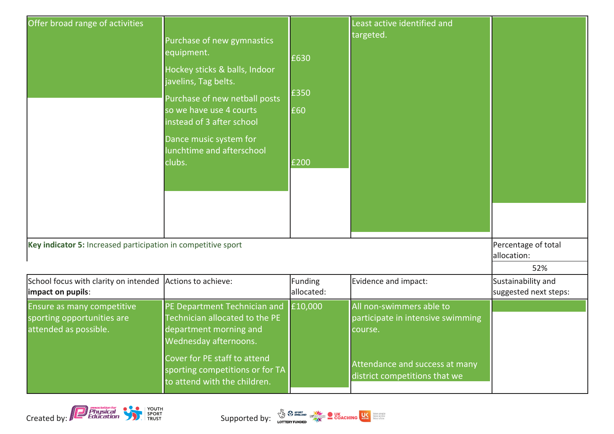| Offer broad range of activities                                                   | Purchase of new gymnastics<br>equipment.<br>Hockey sticks & balls, Indoor<br>javelins, Tag belts.<br>Purchase of new netball posts<br>so we have use 4 courts<br>instead of 3 after school<br>Dance music system for<br>lunchtime and afterschool<br>clubs. | £630<br>£350<br>£60<br>£200 | Least active identified and<br>targeted.                                 |                                             |
|-----------------------------------------------------------------------------------|-------------------------------------------------------------------------------------------------------------------------------------------------------------------------------------------------------------------------------------------------------------|-----------------------------|--------------------------------------------------------------------------|---------------------------------------------|
| Key indicator 5: Increased participation in competitive sport                     | Percentage of total<br>allocation:<br>52%                                                                                                                                                                                                                   |                             |                                                                          |                                             |
| School focus with clarity on intended Actions to achieve:<br>impact on pupils:    |                                                                                                                                                                                                                                                             | Funding<br>allocated:       | Evidence and impact:                                                     | Sustainability and<br>suggested next steps: |
| Ensure as many competitive<br>sporting opportunities are<br>attended as possible. | PE Department Technician and<br>Technician allocated to the PE<br>department morning and<br>Wednesday afternoons.<br>Cover for PE staff to attend                                                                                                           | £10,000                     | All non-swimmers able to<br>participate in intensive swimming<br>course. |                                             |
|                                                                                   | sporting competitions or for TA<br>to attend with the children.                                                                                                                                                                                             |                             | Attendance and success at many<br>district competitions that we          |                                             |